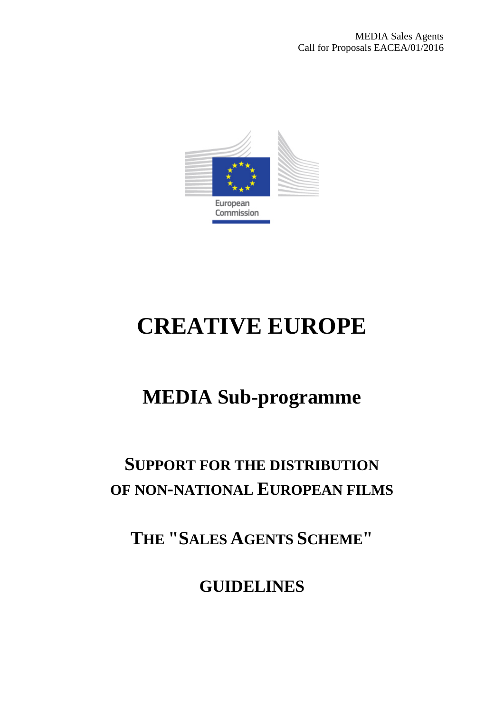

# **CREATIVE EUROPE**

# **MEDIA Sub-programme**

# **SUPPORT FOR THE DISTRIBUTION OF NON-NATIONAL EUROPEAN FILMS**

**THE "SALES AGENTS SCHEME"**

**GUIDELINES**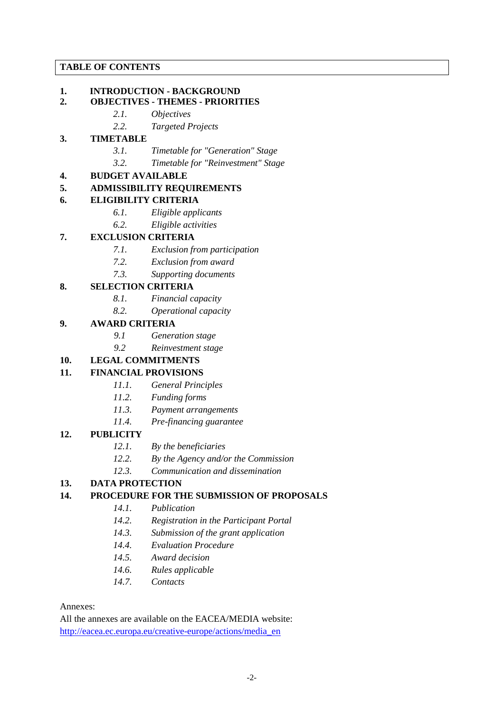# **TABLE OF CONTENTS**

# **1. INTRODUCTION - BACKGROUND**

# **2. OBJECTIVES - THEMES - PRIORITIES**

- *2.1. Objectives*
	- *2.2. Targeted Projects*

# **3. TIMETABLE**

- *3.1. Timetable for "Generation" Stage*
- *3.2. Timetable for "Reinvestment" Stage*

# **4. BUDGET AVAILABLE**

#### **5. ADMISSIBILITY REQUIREMENTS**

#### **6. ELIGIBILITY CRITERIA**

- *6.1. Eligible applicants*
- *6.2. Eligible activities*

# **7. EXCLUSION CRITERIA**

- *7.1. Exclusion from participation*
- *7.2. Exclusion from award*
- *7.3. Supporting documents*

# **8. SELECTION CRITERIA**

- *8.1. Financial capacity*
- *8.2. Operational capacity*

#### **9. AWARD CRITERIA**

- *9.1 Generation stage*
- *9.2 Reinvestment stage*

# **10. LEGAL COMMITMENTS**

# **11. FINANCIAL PROVISIONS**

- *11.1. General Principles*
- *11.2. Funding forms*
- *11.3. Payment arrangements*
- *11.4. Pre-financing guarantee*

#### **12. PUBLICITY**

- *12.1. By the beneficiaries*
- *12.2. By the Agency and/or the Commission*
- *12.3. Communication and dissemination*

# **13. DATA PROTECTION**

# **14. PROCEDURE FOR THE SUBMISSION OF PROPOSALS**

- *14.1. Publication*
- *14.2. Registration in the Participant Portal*
- *14.3. Submission of the grant application*
- *14.4. Evaluation Procedure*
- *14.5. Award decision*
- *14.6. Rules applicable*
- *14.7. Contacts*

#### Annexes:

All the annexes are available on the EACEA/MEDIA website: [http://eacea.ec.europa.eu/creative-europe/actions/media\\_en](http://eacea.ec.europa.eu/creative-europe/actions/media_en)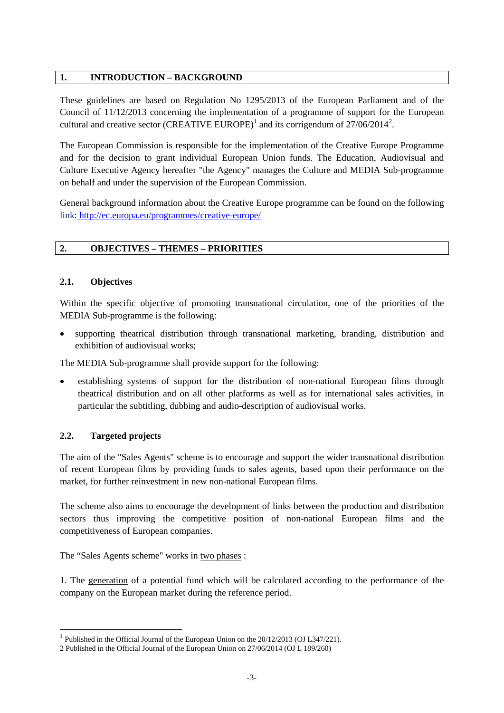# **1. INTRODUCTION – BACKGROUND**

These guidelines are based on Regulation No 1295/2013 of the European Parliament and of the Council of 11/12/2013 concerning the implementation of a programme of support for the European cultural and creative sector (CREATIVE EUROPE)<sup>[1](#page-2-0)</sup> and its corrigendum of  $27/06/2014^2$  $27/06/2014^2$ .

The European Commission is responsible for the implementation of the Creative Europe Programme and for the decision to grant individual European Union funds. The Education, Audiovisual and Culture Executive Agency hereafter "the Agency" manages the Culture and MEDIA Sub-programme on behalf and under the supervision of the European Commission.

General background information about the Creative Europe programme can be found on the following link: <http://ec.europa.eu/programmes/creative-europe/>

# **2. OBJECTIVES – THEMES – PRIORITIES**

#### **2.1. Objectives**

Within the specific objective of promoting transnational circulation, one of the priorities of the MEDIA Sub-programme is the following:

supporting theatrical distribution through transnational marketing, branding, distribution and exhibition of audiovisual works;

The MEDIA Sub-programme shall provide support for the following:

• establishing systems of support for the distribution of non-national European films through theatrical distribution and on all other platforms as well as for international sales activities, in particular the subtitling, dubbing and audio-description of audiovisual works.

# **2.2. Targeted projects**

The aim of the "Sales Agents" scheme is to encourage and support the wider transnational distribution of recent European films by providing funds to sales agents, based upon their performance on the market, for further reinvestment in new non-national European films.

The scheme also aims to encourage the development of links between the production and distribution sectors thus improving the competitive position of non-national European films and the competitiveness of European companies.

The "Sales Agents scheme" works in two phases :

1. The generation of a potential fund which will be calculated according to the performance of the company on the European market during the reference period.

<span id="page-2-0"></span> $1$  Published in the Official Journal of the European Union on the  $20/12/2013$  (OJ L347/221).

<span id="page-2-1"></span><sup>2</sup> Published in the Official Journal of the European Union on 27/06/2014 (OJ L 189/260)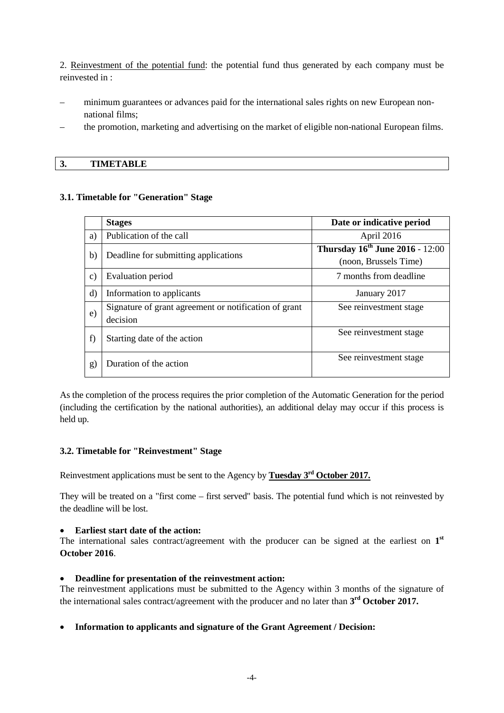2. Reinvestment of the potential fund: the potential fund thus generated by each company must be reinvested in :

- minimum guarantees or advances paid for the international sales rights on new European nonnational films;
- the promotion, marketing and advertising on the market of eligible non-national European films.

#### **3. TIMETABLE**

#### **3.1. Timetable for "Generation" Stage**

|               | <b>Stages</b>                                                     | Date or indicative period                                       |
|---------------|-------------------------------------------------------------------|-----------------------------------------------------------------|
| a)            | Publication of the call                                           | April 2016                                                      |
| b)            | Deadline for submitting applications                              | <b>Thursday 16th June 2016 - 12:00</b><br>(noon, Brussels Time) |
| $\mathbf{c})$ | Evaluation period                                                 | 7 months from deadline                                          |
| $\mathbf{d}$  | Information to applicants                                         | January 2017                                                    |
| e)            | Signature of grant agreement or notification of grant<br>decision | See reinvestment stage                                          |
| f             | Starting date of the action                                       | See reinvestment stage                                          |
| g)            | Duration of the action                                            | See reinvestment stage                                          |

As the completion of the process requires the prior completion of the Automatic Generation for the period (including the certification by the national authorities), an additional delay may occur if this process is held up.

#### **3.2. Timetable for "Reinvestment" Stage**

Reinvestment applications must be sent to the Agency by **Tuesday 3rd October 2017.**

They will be treated on a "first come – first served" basis. The potential fund which is not reinvested by the deadline will be lost.

#### • **Earliest start date of the action:**

The international sales contract/agreement with the producer can be signed at the earliest on **1st October 2016**.

#### • **Deadline for presentation of the reinvestment action:**

The reinvestment applications must be submitted to the Agency within 3 months of the signature of the international sales contract/agreement with the producer and no later than **3rd October 2017.**

# • **Information to applicants and signature of the Grant Agreement / Decision:**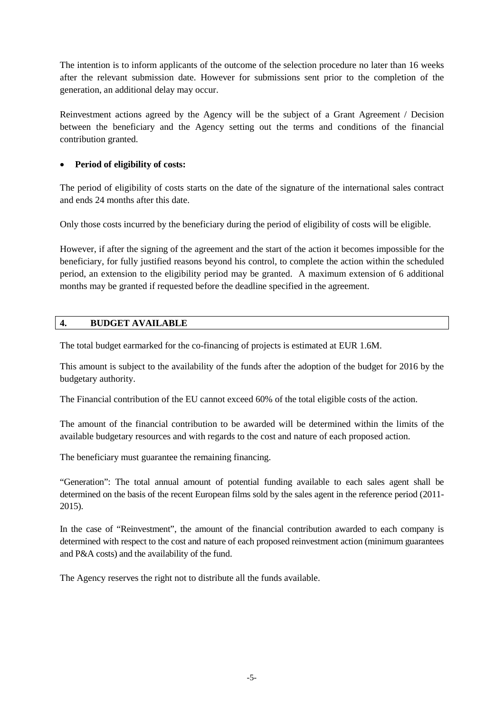The intention is to inform applicants of the outcome of the selection procedure no later than 16 weeks after the relevant submission date. However for submissions sent prior to the completion of the generation, an additional delay may occur.

Reinvestment actions agreed by the Agency will be the subject of a Grant Agreement / Decision between the beneficiary and the Agency setting out the terms and conditions of the financial contribution granted.

# • **Period of eligibility of costs:**

The period of eligibility of costs starts on the date of the signature of the international sales contract and ends 24 months after this date.

Only those costs incurred by the beneficiary during the period of eligibility of costs will be eligible.

However, if after the signing of the agreement and the start of the action it becomes impossible for the beneficiary, for fully justified reasons beyond his control, to complete the action within the scheduled period, an extension to the eligibility period may be granted. A maximum extension of 6 additional months may be granted if requested before the deadline specified in the agreement.

# **4. BUDGET AVAILABLE**

The total budget earmarked for the co-financing of projects is estimated at EUR 1.6M.

This amount is subject to the availability of the funds after the adoption of the budget for 2016 by the budgetary authority.

The Financial contribution of the EU cannot exceed 60% of the total eligible costs of the action.

The amount of the financial contribution to be awarded will be determined within the limits of the available budgetary resources and with regards to the cost and nature of each proposed action.

The beneficiary must guarantee the remaining financing.

"Generation": The total annual amount of potential funding available to each sales agent shall be determined on the basis of the recent European films sold by the sales agent in the reference period (2011- 2015).

In the case of "Reinvestment", the amount of the financial contribution awarded to each company is determined with respect to the cost and nature of each proposed reinvestment action (minimum guarantees and P&A costs) and the availability of the fund.

The Agency reserves the right not to distribute all the funds available.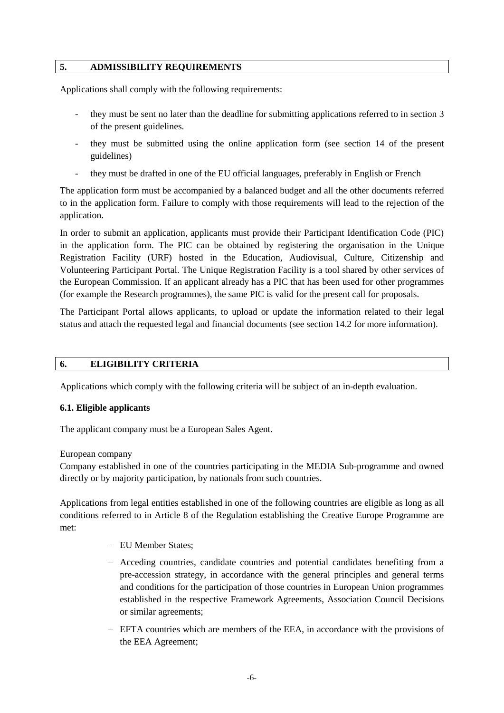#### **5. ADMISSIBILITY REQUIREMENTS**

Applications shall comply with the following requirements:

- they must be sent no later than the deadline for submitting applications referred to in section 3 of the present guidelines.
- they must be submitted using the online application form (see section 14 of the present guidelines)
- they must be drafted in one of the EU official languages, preferably in English or French

The application form must be accompanied by a balanced budget and all the other documents referred to in the application form. Failure to comply with those requirements will lead to the rejection of the application.

In order to submit an application, applicants must provide their Participant Identification Code (PIC) in the application form. The PIC can be obtained by registering the organisation in the Unique Registration Facility (URF) hosted in the Education, Audiovisual, Culture, Citizenship and Volunteering Participant Portal. The Unique Registration Facility is a tool shared by other services of the European Commission. If an applicant already has a PIC that has been used for other programmes (for example the Research programmes), the same PIC is valid for the present call for proposals.

The Participant Portal allows applicants, to upload or update the information related to their legal status and attach the requested legal and financial documents (see section 14.2 for more information).

#### **6. ELIGIBILITY CRITERIA**

Applications which comply with the following criteria will be subject of an in-depth evaluation.

#### **6.1. Eligible applicants**

The applicant company must be a European Sales Agent.

#### European company

Company established in one of the countries participating in the MEDIA Sub-programme and owned directly or by majority participation, by nationals from such countries.

Applications from legal entities established in one of the following countries are eligible as long as all conditions referred to in Article 8 of the Regulation establishing the Creative Europe Programme are met:

- − EU Member States;
- − Acceding countries, candidate countries and potential candidates benefiting from a pre-accession strategy, in accordance with the general principles and general terms and conditions for the participation of those countries in European Union programmes established in the respective Framework Agreements, Association Council Decisions or similar agreements;
- − EFTA countries which are members of the EEA, in accordance with the provisions of the EEA Agreement;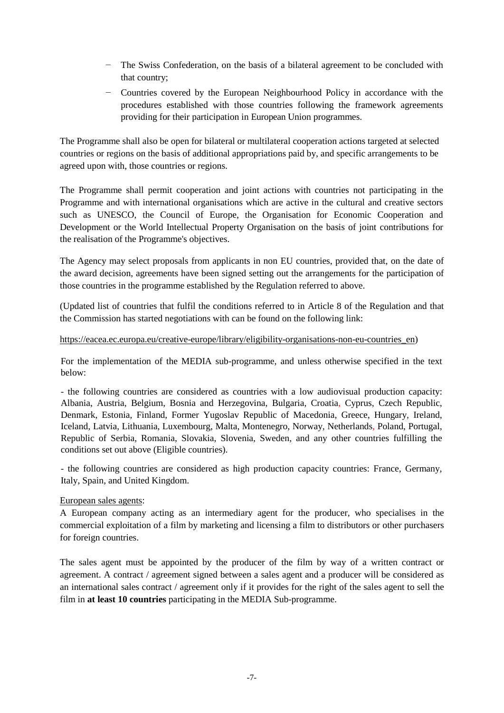- − The Swiss Confederation, on the basis of a bilateral agreement to be concluded with that country;
- − Countries covered by the European Neighbourhood Policy in accordance with the procedures established with those countries following the framework agreements providing for their participation in European Union programmes.

The Programme shall also be open for bilateral or multilateral cooperation actions targeted at selected countries or regions on the basis of additional appropriations paid by, and specific arrangements to be agreed upon with, those countries or regions.

The Programme shall permit cooperation and joint actions with countries not participating in the Programme and with international organisations which are active in the cultural and creative sectors such as UNESCO, the Council of Europe, the Organisation for Economic Cooperation and Development or the World Intellectual Property Organisation on the basis of joint contributions for the realisation of the Programme's objectives.

The Agency may select proposals from applicants in non EU countries, provided that, on the date of the award decision, agreements have been signed setting out the arrangements for the participation of those countries in the programme established by the Regulation referred to above.

(Updated list of countries that fulfil the conditions referred to in Article 8 of the Regulation and that the Commission has started negotiations with can be found on the following link:

#### https://eacea.ec.europa.eu/creative-europe/library/eligibility-organisations-non-eu-countries en)

For the implementation of the MEDIA sub-programme, and unless otherwise specified in the text below:

- the following countries are considered as countries with a low audiovisual production capacity: Albania, Austria, Belgium, Bosnia and Herzegovina, Bulgaria, Croatia, Cyprus, Czech Republic, Denmark, Estonia, Finland, Former Yugoslav Republic of Macedonia, Greece, Hungary, Ireland, Iceland, Latvia, Lithuania, Luxembourg, Malta, Montenegro, Norway, Netherlands, Poland, Portugal, Republic of Serbia, Romania, Slovakia, Slovenia, Sweden, and any other countries fulfilling the conditions set out above (Eligible countries).

- the following countries are considered as high production capacity countries: France, Germany, Italy, Spain, and United Kingdom.

European sales agents:

A European company acting as an intermediary agent for the producer, who specialises in the commercial exploitation of a film by marketing and licensing a film to distributors or other purchasers for foreign countries.

The sales agent must be appointed by the producer of the film by way of a written contract or agreement. A contract / agreement signed between a sales agent and a producer will be considered as an international sales contract / agreement only if it provides for the right of the sales agent to sell the film in **at least 10 countries** participating in the MEDIA Sub-programme.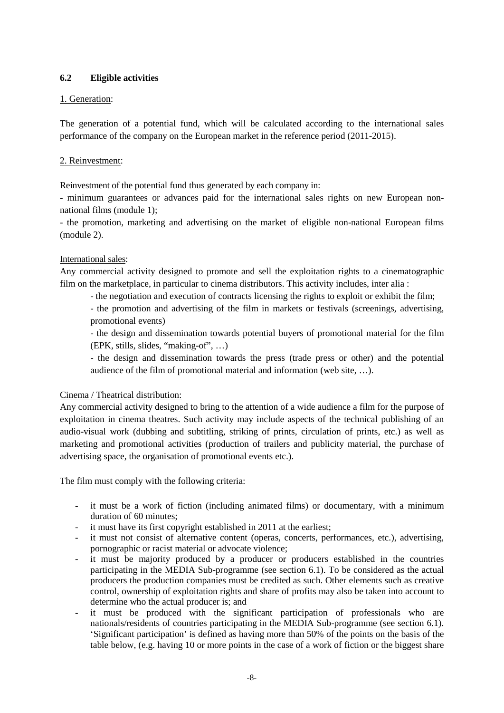# **6.2 Eligible activities**

# 1. Generation:

The generation of a potential fund, which will be calculated according to the international sales performance of the company on the European market in the reference period (2011-2015).

#### 2. Reinvestment:

Reinvestment of the potential fund thus generated by each company in:

- minimum guarantees or advances paid for the international sales rights on new European nonnational films (module 1);

- the promotion, marketing and advertising on the market of eligible non-national European films (module 2).

#### International sales:

Any commercial activity designed to promote and sell the exploitation rights to a cinematographic film on the marketplace, in particular to cinema distributors. This activity includes, inter alia :

- the negotiation and execution of contracts licensing the rights to exploit or exhibit the film;

- the promotion and advertising of the film in markets or festivals (screenings, advertising, promotional events)

- the design and dissemination towards potential buyers of promotional material for the film (EPK, stills, slides, "making-of", …)

- the design and dissemination towards the press (trade press or other) and the potential audience of the film of promotional material and information (web site, …).

# Cinema / Theatrical distribution:

Any commercial activity designed to bring to the attention of a wide audience a film for the purpose of exploitation in cinema theatres. Such activity may include aspects of the technical publishing of an audio-visual work (dubbing and subtitling, striking of prints, circulation of prints, etc.) as well as marketing and promotional activities (production of trailers and publicity material, the purchase of advertising space, the organisation of promotional events etc.).

The film must comply with the following criteria:

- it must be a work of fiction (including animated films) or documentary, with a minimum duration of 60 minutes;
- it must have its first copyright established in 2011 at the earliest;
- it must not consist of alternative content (operas, concerts, performances, etc.), advertising, pornographic or racist material or advocate violence;
- it must be majority produced by a producer or producers established in the countries participating in the MEDIA Sub-programme (see section 6.1). To be considered as the actual producers the production companies must be credited as such. Other elements such as creative control, ownership of exploitation rights and share of profits may also be taken into account to determine who the actual producer is; and
- it must be produced with the significant participation of professionals who are nationals/residents of countries participating in the MEDIA Sub-programme (see section 6.1). 'Significant participation' is defined as having more than 50% of the points on the basis of the table below, (e.g. having 10 or more points in the case of a work of fiction or the biggest share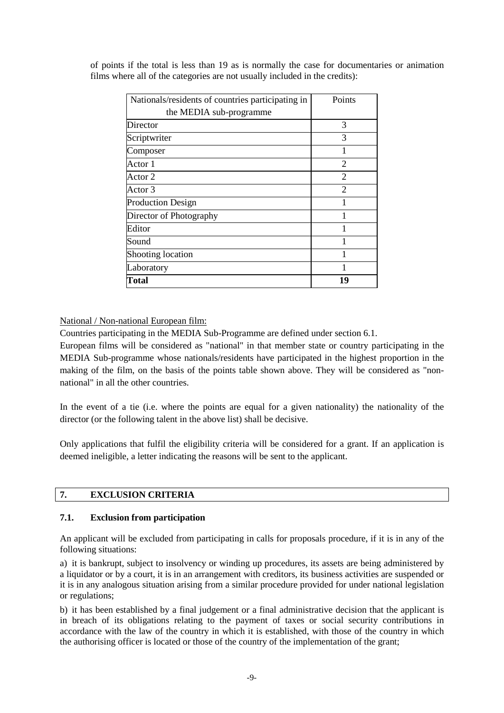| Nationals/residents of countries participating in | Points         |
|---------------------------------------------------|----------------|
| the MEDIA sub-programme                           |                |
| Director                                          | 3              |
| Scriptwriter                                      | 3              |
| Composer                                          | 1              |
| Actor 1                                           | $\overline{2}$ |
| Actor 2                                           | $\overline{2}$ |
| Actor 3                                           | $\overline{c}$ |
| <b>Production Design</b>                          |                |
| Director of Photography                           |                |
| Editor                                            |                |
| Sound                                             |                |
| Shooting location                                 |                |
| Laboratory                                        |                |
| Total                                             | 19             |

of points if the total is less than 19 as is normally the case for documentaries or animation films where all of the categories are not usually included in the credits):

# National / Non-national European film:

Countries participating in the MEDIA Sub-Programme are defined under section 6.1.

European films will be considered as "national" in that member state or country participating in the MEDIA Sub-programme whose nationals/residents have participated in the highest proportion in the making of the film, on the basis of the points table shown above. They will be considered as "nonnational" in all the other countries.

In the event of a tie (i.e. where the points are equal for a given nationality) the nationality of the director (or the following talent in the above list) shall be decisive.

Only applications that fulfil the eligibility criteria will be considered for a grant. If an application is deemed ineligible, a letter indicating the reasons will be sent to the applicant.

# **7. EXCLUSION CRITERIA**

# **7.1. Exclusion from participation**

An applicant will be excluded from participating in calls for proposals procedure, if it is in any of the following situations:

a) it is bankrupt, subject to insolvency or winding up procedures, its assets are being administered by a liquidator or by a court, it is in an arrangement with creditors, its business activities are suspended or it is in any analogous situation arising from a similar procedure provided for under national legislation or regulations;

b) it has been established by a final judgement or a final administrative decision that the applicant is in breach of its obligations relating to the payment of taxes or social security contributions in accordance with the law of the country in which it is established, with those of the country in which the authorising officer is located or those of the country of the implementation of the grant;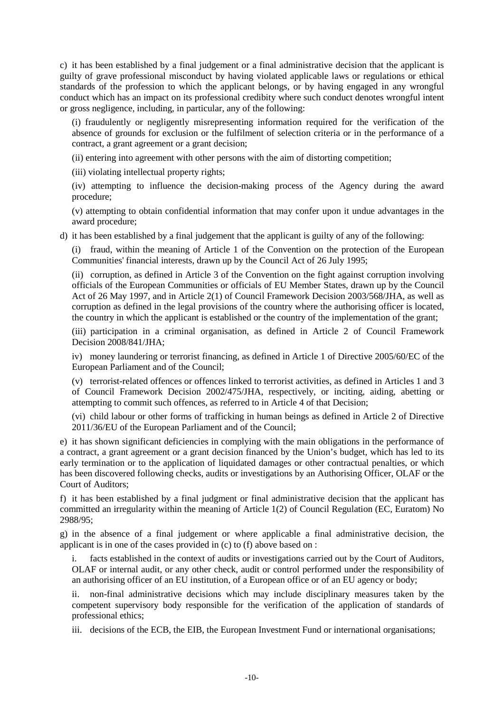c) it has been established by a final judgement or a final administrative decision that the applicant is guilty of grave professional misconduct by having violated applicable laws or regulations or ethical standards of the profession to which the applicant belongs, or by having engaged in any wrongful conduct which has an impact on its professional credibity where such conduct denotes wrongful intent or gross negligence, including, in particular, any of the following:

(i) fraudulently or negligently misrepresenting information required for the verification of the absence of grounds for exclusion or the fulfilment of selection criteria or in the performance of a contract, a grant agreement or a grant decision;

(ii) entering into agreement with other persons with the aim of distorting competition;

(iii) violating intellectual property rights;

(iv) attempting to influence the decision-making process of the Agency during the award procedure;

(v) attempting to obtain confidential information that may confer upon it undue advantages in the award procedure;

d) it has been established by a final judgement that the applicant is guilty of any of the following:

(i) fraud, within the meaning of Article 1 of the Convention on the protection of the European Communities' financial interests, drawn up by the Council Act of 26 July 1995;

(ii) corruption, as defined in Article 3 of the Convention on the fight against corruption involving officials of the European Communities or officials of EU Member States, drawn up by the Council Act of 26 May 1997, and in Article 2(1) of Council Framework Decision 2003/568/JHA, as well as corruption as defined in the legal provisions of the country where the authorising officer is located, the country in which the applicant is established or the country of the implementation of the grant;

(iii) participation in a criminal organisation, as defined in Article 2 of Council Framework Decision 2008/841/JHA;

iv) money laundering or terrorist financing, as defined in Article 1 of Directive 2005/60/EC of the European Parliament and of the Council;

(v) terrorist-related offences or offences linked to terrorist activities, as defined in Articles 1 and 3 of Council Framework Decision 2002/475/JHA, respectively, or inciting, aiding, abetting or attempting to commit such offences, as referred to in Article 4 of that Decision;

(vi) child labour or other forms of trafficking in human beings as defined in Article 2 of Directive 2011/36/EU of the European Parliament and of the Council;

e) it has shown significant deficiencies in complying with the main obligations in the performance of a contract, a grant agreement or a grant decision financed by the Union's budget, which has led to its early termination or to the application of liquidated damages or other contractual penalties, or which has been discovered following checks, audits or investigations by an Authorising Officer, OLAF or the Court of Auditors;

f) it has been established by a final judgment or final administrative decision that the applicant has committed an irregularity within the meaning of Article 1(2) of Council Regulation (EC, Euratom) No 2988/95;

g) in the absence of a final judgement or where applicable a final administrative decision, the applicant is in one of the cases provided in (c) to (f) above based on :

facts established in the context of audits or investigations carried out by the Court of Auditors, OLAF or internal audit, or any other check, audit or control performed under the responsibility of an authorising officer of an EU institution, of a European office or of an EU agency or body;

ii. non-final administrative decisions which may include disciplinary measures taken by the competent supervisory body responsible for the verification of the application of standards of professional ethics;

iii. decisions of the ECB, the EIB, the European Investment Fund or international organisations;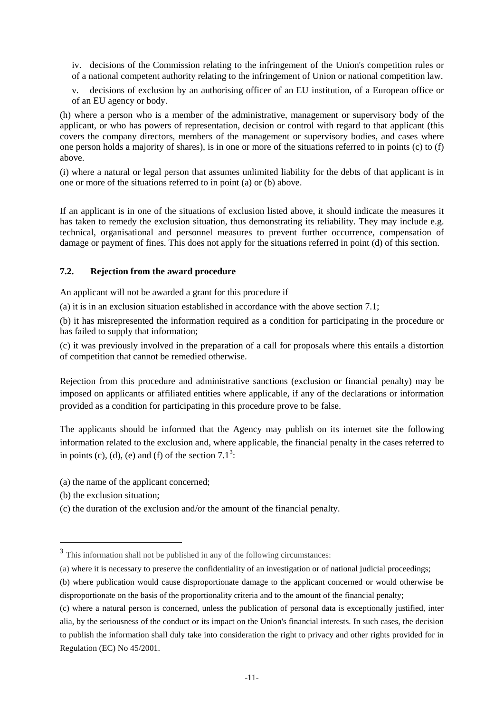iv. decisions of the Commission relating to the infringement of the Union's competition rules or of a national competent authority relating to the infringement of Union or national competition law.

v. decisions of exclusion by an authorising officer of an EU institution, of a European office or of an EU agency or body.

(h) where a person who is a member of the administrative, management or supervisory body of the applicant, or who has powers of representation, decision or control with regard to that applicant (this covers the company directors, members of the management or supervisory bodies, and cases where one person holds a majority of shares), is in one or more of the situations referred to in points (c) to (f) above.

(i) where a natural or legal person that assumes unlimited liability for the debts of that applicant is in one or more of the situations referred to in point (a) or (b) above.

If an applicant is in one of the situations of exclusion listed above, it should indicate the measures it has taken to remedy the exclusion situation, thus demonstrating its reliability. They may include e.g. technical, organisational and personnel measures to prevent further occurrence, compensation of damage or payment of fines. This does not apply for the situations referred in point (d) of this section.

#### **7.2. Rejection from the award procedure**

An applicant will not be awarded a grant for this procedure if

(a) it is in an exclusion situation established in accordance with the above section 7.1;

(b) it has misrepresented the information required as a condition for participating in the procedure or has failed to supply that information;

(c) it was previously involved in the preparation of a call for proposals where this entails a distortion of competition that cannot be remedied otherwise.

Rejection from this procedure and administrative sanctions (exclusion or financial penalty) may be imposed on applicants or affiliated entities where applicable, if any of the declarations or information provided as a condition for participating in this procedure prove to be false.

The applicants should be informed that the Agency may publish on its internet site the following information related to the exclusion and, where applicable, the financial penalty in the cases referred to in points (c), (d), (e) and (f) of the section  $7.1^3$  $7.1^3$ :

(a) the name of the applicant concerned;

(b) the exclusion situation;

 $\ddot{\phantom{a}}$ 

(c) the duration of the exclusion and/or the amount of the financial penalty.

<span id="page-10-0"></span><sup>&</sup>lt;sup>3</sup> This information shall not be published in any of the following circumstances:

<sup>(</sup>a) where it is necessary to preserve the confidentiality of an investigation or of national judicial proceedings;

<sup>(</sup>b) where publication would cause disproportionate damage to the applicant concerned or would otherwise be disproportionate on the basis of the proportionality criteria and to the amount of the financial penalty;

<sup>(</sup>c) where a natural person is concerned, unless the publication of personal data is exceptionally justified, inter alia, by the seriousness of the conduct or its impact on the Union's financial interests. In such cases, the decision to publish the information shall duly take into consideration the right to privacy and other rights provided for in Regulation (EC) No 45/2001.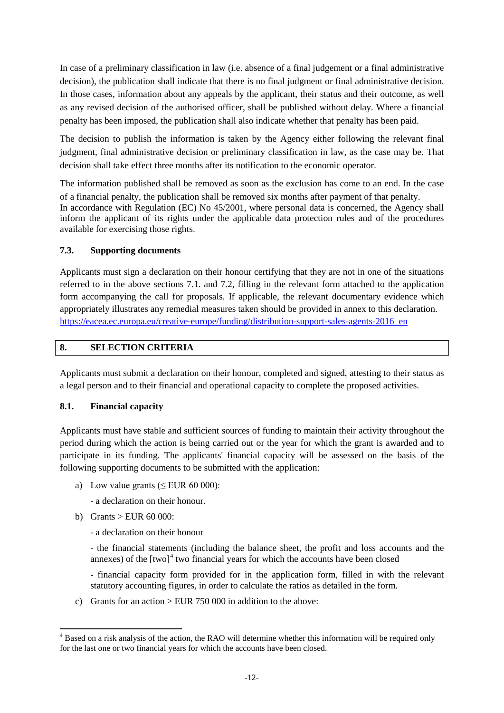In case of a preliminary classification in law (i.e. absence of a final judgement or a final administrative decision), the publication shall indicate that there is no final judgment or final administrative decision. In those cases, information about any appeals by the applicant, their status and their outcome, as well as any revised decision of the authorised officer, shall be published without delay. Where a financial penalty has been imposed, the publication shall also indicate whether that penalty has been paid.

The decision to publish the information is taken by the Agency either following the relevant final judgment, final administrative decision or preliminary classification in law, as the case may be. That decision shall take effect three months after its notification to the economic operator.

The information published shall be removed as soon as the exclusion has come to an end. In the case of a financial penalty, the publication shall be removed six months after payment of that penalty. In accordance with Regulation (EC) No 45/2001, where personal data is concerned, the Agency shall inform the applicant of its rights under the applicable data protection rules and of the procedures available for exercising those rights.

# **7.3. Supporting documents**

Applicants must sign a declaration on their honour certifying that they are not in one of the situations referred to in the above sections 7.1. and 7.2, filling in the relevant form attached to the application form accompanying the call for proposals. If applicable, the relevant documentary evidence which appropriately illustrates any remedial measures taken should be provided in annex to this declaration. [https://eacea.ec.europa.eu/creative-europe/funding/distribution-support-sales-agents-2016\\_en](https://eacea.ec.europa.eu/creative-europe/funding/distribution-support-sales-agents-2016_en)

# **8. SELECTION CRITERIA**

Applicants must submit a declaration on their honour, completed and signed, attesting to their status as a legal person and to their financial and operational capacity to complete the proposed activities.

# **8.1. Financial capacity**

Applicants must have stable and sufficient sources of funding to maintain their activity throughout the period during which the action is being carried out or the year for which the grant is awarded and to participate in its funding. The applicants' financial capacity will be assessed on the basis of the following supporting documents to be submitted with the application:

- a) Low value grants ( $\leq$  EUR 60 000):
	- a declaration on their honour.
- b) Grants  $>$  EUR 60 000:
	- a declaration on their honour
	- the financial statements (including the balance sheet, the profit and loss accounts and the annexes) of the  $[two]^4$  $[two]^4$  two financial years for which the accounts have been closed
	- financial capacity form provided for in the application form, filled in with the relevant statutory accounting figures, in order to calculate the ratios as detailed in the form.
- c) Grants for an action  $>$  EUR 750 000 in addition to the above:

<span id="page-11-0"></span><sup>&</sup>lt;sup>4</sup> Based on a risk analysis of the action, the RAO will determine whether this information will be required only for the last one or two financial years for which the accounts have been closed.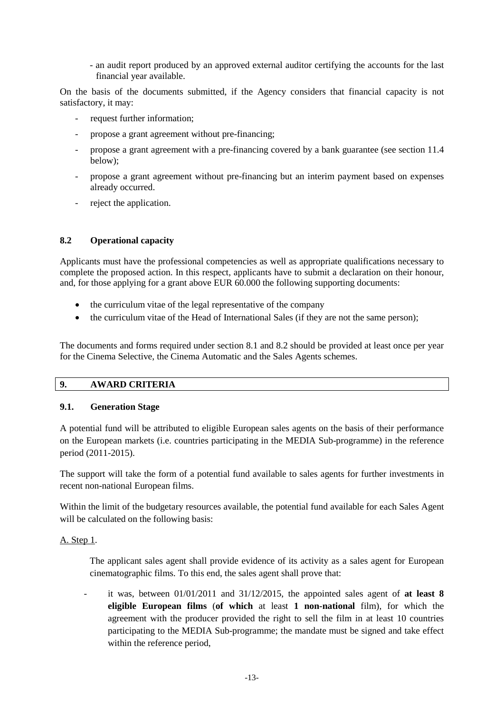- an audit report produced by an approved external auditor certifying the accounts for the last financial year available.

On the basis of the documents submitted, if the Agency considers that financial capacity is not satisfactory, it may:

- request further information:
- propose a grant agreement without pre-financing;
- propose a grant agreement with a pre-financing covered by a bank guarantee (see section 11.4 below);
- propose a grant agreement without pre-financing but an interim payment based on expenses already occurred.
- reject the application.

#### **8.2 Operational capacity**

Applicants must have the professional competencies as well as appropriate qualifications necessary to complete the proposed action. In this respect, applicants have to submit a declaration on their honour, and, for those applying for a grant above EUR 60.000 the following supporting documents:

- the curriculum vitae of the legal representative of the company
- the curriculum vitae of the Head of International Sales (if they are not the same person);

The documents and forms required under section 8.1 and 8.2 should be provided at least once per year for the Cinema Selective, the Cinema Automatic and the Sales Agents schemes.

# **9. AWARD CRITERIA**

# **9.1. Generation Stage**

A potential fund will be attributed to eligible European sales agents on the basis of their performance on the European markets (i.e. countries participating in the MEDIA Sub-programme) in the reference period (2011-2015).

The support will take the form of a potential fund available to sales agents for further investments in recent non-national European films.

Within the limit of the budgetary resources available, the potential fund available for each Sales Agent will be calculated on the following basis:

#### A. Step 1.

The applicant sales agent shall provide evidence of its activity as a sales agent for European cinematographic films. To this end, the sales agent shall prove that:

it was, between  $01/01/2011$  and  $31/12/2015$ , the appointed sales agent of **at least 8 eligible European films** (**of which** at least **1 non-national** film), for which the agreement with the producer provided the right to sell the film in at least 10 countries participating to the MEDIA Sub-programme; the mandate must be signed and take effect within the reference period,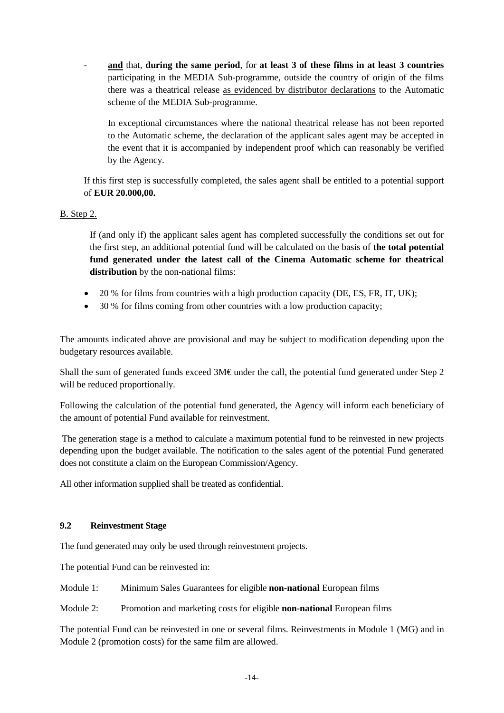- **and** that, **during the same period**, for **at least 3 of these films in at least 3 countries** participating in the MEDIA Sub-programme, outside the country of origin of the films there was a theatrical release as evidenced by distributor declarations to the Automatic scheme of the MEDIA Sub-programme.

In exceptional circumstances where the national theatrical release has not been reported to the Automatic scheme, the declaration of the applicant sales agent may be accepted in the event that it is accompanied by independent proof which can reasonably be verified by the Agency.

If this first step is successfully completed, the sales agent shall be entitled to a potential support of **EUR 20.000,00.**

B. Step 2.

If (and only if) the applicant sales agent has completed successfully the conditions set out for the first step, an additional potential fund will be calculated on the basis of **the total potential fund generated under the latest call of the Cinema Automatic scheme for theatrical distribution** by the non-national films:

- 20 % for films from countries with a high production capacity (DE, ES, FR, IT, UK);
- 30 % for films coming from other countries with a low production capacity;

The amounts indicated above are provisional and may be subject to modification depending upon the budgetary resources available.

Shall the sum of generated funds exceed 3M€ under the call, the potential fund generated under Step 2 will be reduced proportionally.

Following the calculation of the potential fund generated, the Agency will inform each beneficiary of the amount of potential Fund available for reinvestment.

The generation stage is a method to calculate a maximum potential fund to be reinvested in new projects depending upon the budget available. The notification to the sales agent of the potential Fund generated does not constitute a claim on the European Commission/Agency.

All other information supplied shall be treated as confidential.

# **9.2 Reinvestment Stage**

The fund generated may only be used through reinvestment projects.

The potential Fund can be reinvested in:

Module 1: Minimum Sales Guarantees for eligible **non-national** European films

Module 2: Promotion and marketing costs for eligible **non-national** European films

The potential Fund can be reinvested in one or several films. Reinvestments in Module 1 (MG) and in Module 2 (promotion costs) for the same film are allowed.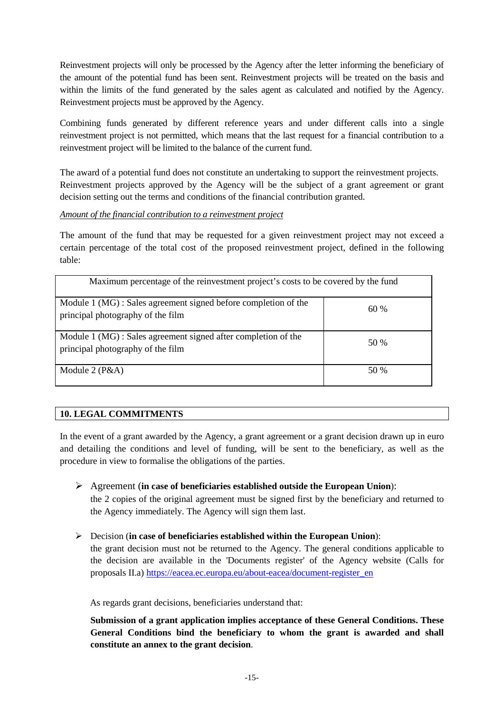Reinvestment projects will only be processed by the Agency after the letter informing the beneficiary of the amount of the potential fund has been sent. Reinvestment projects will be treated on the basis and within the limits of the fund generated by the sales agent as calculated and notified by the Agency. Reinvestment projects must be approved by the Agency.

Combining funds generated by different reference years and under different calls into a single reinvestment project is not permitted, which means that the last request for a financial contribution to a reinvestment project will be limited to the balance of the current fund.

The award of a potential fund does not constitute an undertaking to support the reinvestment projects. Reinvestment projects approved by the Agency will be the subject of a grant agreement or grant decision setting out the terms and conditions of the financial contribution granted.

#### *Amount of the financial contribution to a reinvestment project*

The amount of the fund that may be requested for a given reinvestment project may not exceed a certain percentage of the total cost of the proposed reinvestment project, defined in the following table:

| Maximum percentage of the reinvestment project's costs to be covered by the fund                    |      |  |
|-----------------------------------------------------------------------------------------------------|------|--|
| Module 1 (MG): Sales agreement signed before completion of the<br>principal photography of the film | 60%  |  |
| Module 1 (MG) : Sales agreement signed after completion of the<br>principal photography of the film | 50 % |  |
| Module $2(P&A)$                                                                                     | 50 % |  |

# **10. LEGAL COMMITMENTS**

In the event of a grant awarded by the Agency, a grant agreement or a grant decision drawn up in euro and detailing the conditions and level of funding, will be sent to the beneficiary, as well as the procedure in view to formalise the obligations of the parties.

- Agreement (**in case of beneficiaries established outside the European Union**): the 2 copies of the original agreement must be signed first by the beneficiary and returned to the Agency immediately. The Agency will sign them last.
- Decision (**in case of beneficiaries established within the European Union**): the grant decision must not be returned to the Agency. The general conditions applicable to the decision are available in the 'Documents register' of the Agency website (Calls for proposals II.a) [https://eacea.ec.europa.eu/about-eacea/document-register\\_en](https://eacea.ec.europa.eu/about-eacea/document-register_en)

As regards grant decisions, beneficiaries understand that:

**Submission of a grant application implies acceptance of these General Conditions. These General Conditions bind the beneficiary to whom the grant is awarded and shall constitute an annex to the grant decision**.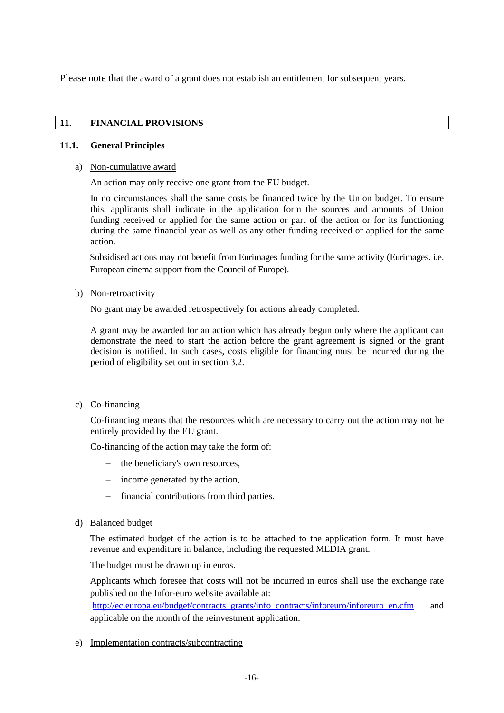Please note that the award of a grant does not establish an entitlement for subsequent years.

#### **11. FINANCIAL PROVISIONS**

#### **11.1. General Principles**

#### a) Non-cumulative award

An action may only receive one grant from the EU budget.

In no circumstances shall the same costs be financed twice by the Union budget. To ensure this, applicants shall indicate in the application form the sources and amounts of Union funding received or applied for the same action or part of the action or for its functioning during the same financial year as well as any other funding received or applied for the same action.

Subsidised actions may not benefit from Eurimages funding for the same activity (Eurimages. i.e. European cinema support from the Council of Europe).

#### b) Non-retroactivity

No grant may be awarded retrospectively for actions already completed.

A grant may be awarded for an action which has already begun only where the applicant can demonstrate the need to start the action before the grant agreement is signed or the grant decision is notified. In such cases, costs eligible for financing must be incurred during the period of eligibility set out in section 3.2.

# c) Co-financing

Co-financing means that the resources which are necessary to carry out the action may not be entirely provided by the EU grant.

Co-financing of the action may take the form of:

- − the beneficiary's own resources,
- − income generated by the action,
- − financial contributions from third parties.
- d) Balanced budget

The estimated budget of the action is to be attached to the application form. It must have revenue and expenditure in balance, including the requested MEDIA grant.

The budget must be drawn up in euros.

Applicants which foresee that costs will not be incurred in euros shall use the exchange rate published on the Infor-euro website available at:

[http://ec.europa.eu/budget/contracts\\_grants/info\\_contracts/inforeuro/inforeuro\\_en.cfm](http://ec.europa.eu/budget/contracts_grants/info_contracts/inforeuro/inforeuro_en.cfm) and applicable on the month of the reinvestment application.

# e) Implementation contracts/subcontracting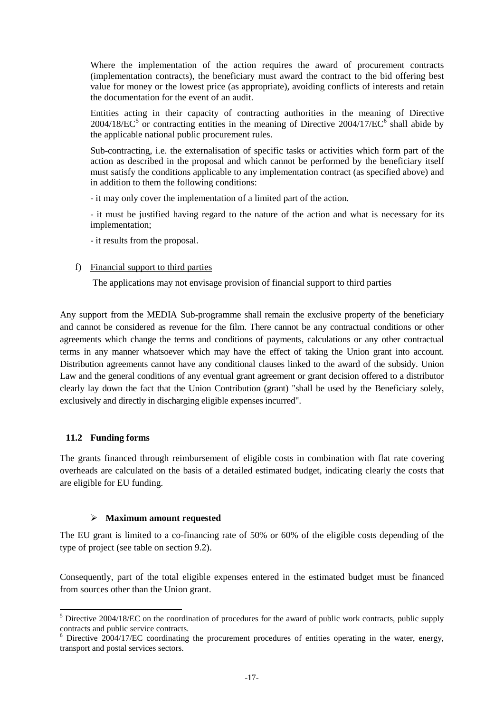Where the implementation of the action requires the award of procurement contracts (implementation contracts), the beneficiary must award the contract to the bid offering best value for money or the lowest price (as appropriate), avoiding conflicts of interests and retain the documentation for the event of an audit.

Entities acting in their capacity of contracting authorities in the meaning of Directive  $2004/18/EC^5$  $2004/18/EC^5$  or contracting entities in the meaning of Directive  $2004/17/EC^6$  $2004/17/EC^6$  shall abide by the applicable national public procurement rules.

Sub-contracting, i.e. the externalisation of specific tasks or activities which form part of the action as described in the proposal and which cannot be performed by the beneficiary itself must satisfy the conditions applicable to any implementation contract (as specified above) and in addition to them the following conditions:

- it may only cover the implementation of a limited part of the action.

- it must be justified having regard to the nature of the action and what is necessary for its implementation;

- it results from the proposal.

#### f) Financial support to third parties

The applications may not envisage provision of financial support to third parties

Any support from the MEDIA Sub-programme shall remain the exclusive property of the beneficiary and cannot be considered as revenue for the film. There cannot be any contractual conditions or other agreements which change the terms and conditions of payments, calculations or any other contractual terms in any manner whatsoever which may have the effect of taking the Union grant into account. Distribution agreements cannot have any conditional clauses linked to the award of the subsidy. Union Law and the general conditions of any eventual grant agreement or grant decision offered to a distributor clearly lay down the fact that the Union Contribution (grant) "shall be used by the Beneficiary solely, exclusively and directly in discharging eligible expenses incurred".

#### **11.2 Funding forms**

The grants financed through reimbursement of eligible costs in combination with flat rate covering overheads are calculated on the basis of a detailed estimated budget, indicating clearly the costs that are eligible for EU funding.

#### **Maximum amount requested**

The EU grant is limited to a co-financing rate of 50% or 60% of the eligible costs depending of the type of project (see table on section 9.2).

Consequently, part of the total eligible expenses entered in the estimated budget must be financed from sources other than the Union grant.

<span id="page-16-0"></span><sup>&</sup>lt;sup>5</sup> Directive 2004/18/EC on the coordination of procedures for the award of public work contracts, public supply contracts and public service contracts.

<span id="page-16-1"></span> $6$  Directive 2004/17/EC coordinating the procurement procedures of entities operating in the water, energy, transport and postal services sectors.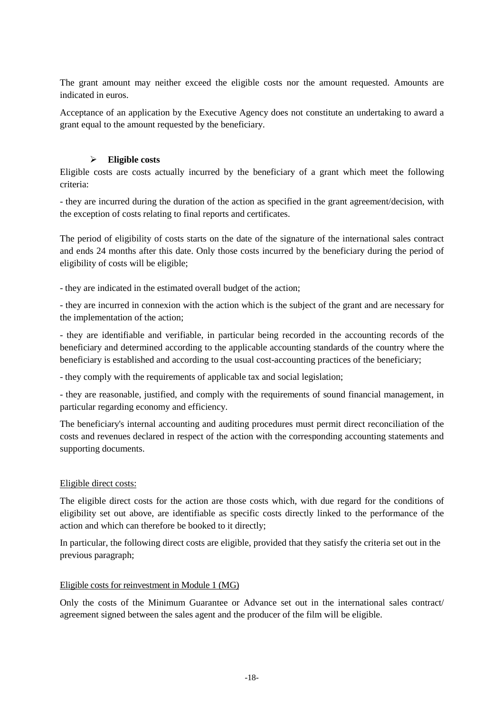The grant amount may neither exceed the eligible costs nor the amount requested. Amounts are indicated in euros.

Acceptance of an application by the Executive Agency does not constitute an undertaking to award a grant equal to the amount requested by the beneficiary.

# **Eligible costs**

Eligible costs are costs actually incurred by the beneficiary of a grant which meet the following criteria:

- they are incurred during the duration of the action as specified in the grant agreement/decision, with the exception of costs relating to final reports and certificates.

The period of eligibility of costs starts on the date of the signature of the international sales contract and ends 24 months after this date. Only those costs incurred by the beneficiary during the period of eligibility of costs will be eligible;

- they are indicated in the estimated overall budget of the action;

- they are incurred in connexion with the action which is the subject of the grant and are necessary for the implementation of the action;

- they are identifiable and verifiable, in particular being recorded in the accounting records of the beneficiary and determined according to the applicable accounting standards of the country where the beneficiary is established and according to the usual cost-accounting practices of the beneficiary;

- they comply with the requirements of applicable tax and social legislation;

- they are reasonable, justified, and comply with the requirements of sound financial management, in particular regarding economy and efficiency.

The beneficiary's internal accounting and auditing procedures must permit direct reconciliation of the costs and revenues declared in respect of the action with the corresponding accounting statements and supporting documents.

# Eligible direct costs:

The eligible direct costs for the action are those costs which, with due regard for the conditions of eligibility set out above, are identifiable as specific costs directly linked to the performance of the action and which can therefore be booked to it directly;

In particular, the following direct costs are eligible, provided that they satisfy the criteria set out in the previous paragraph;

# Eligible costs for reinvestment in Module 1 (MG)

Only the costs of the Minimum Guarantee or Advance set out in the international sales contract/ agreement signed between the sales agent and the producer of the film will be eligible.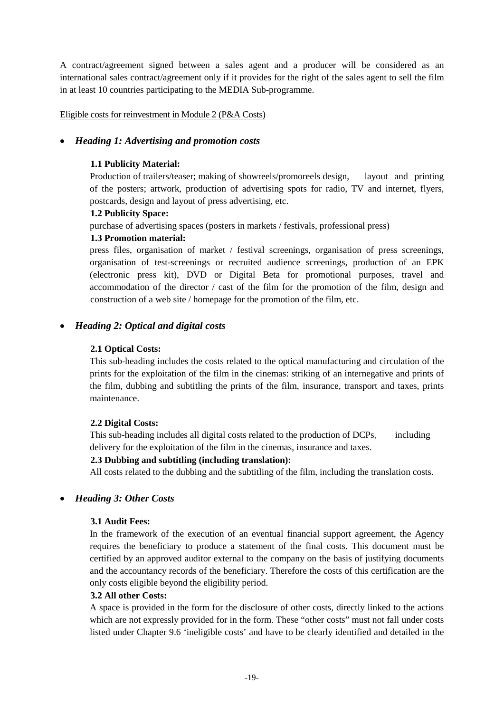A contract/agreement signed between a sales agent and a producer will be considered as an international sales contract/agreement only if it provides for the right of the sales agent to sell the film in at least 10 countries participating to the MEDIA Sub-programme.

Eligible costs for reinvestment in Module 2 (P&A Costs)

# • *Heading 1: Advertising and promotion costs*

# **1.1 Publicity Material:**

Production of trailers/teaser; making of showreels/promoreels design, layout and printing of the posters; artwork, production of advertising spots for radio, TV and internet, flyers, postcards, design and layout of press advertising, etc.

# **1.2 Publicity Space:**

purchase of advertising spaces (posters in markets / festivals, professional press)

# **1.3 Promotion material:**

press files, organisation of market / festival screenings, organisation of press screenings, organisation of test-screenings or recruited audience screenings, production of an EPK (electronic press kit), DVD or Digital Beta for promotional purposes, travel and accommodation of the director / cast of the film for the promotion of the film, design and construction of a web site / homepage for the promotion of the film, etc.

# • *Heading 2: Optical and digital costs*

# **2.1 Optical Costs:**

This sub-heading includes the costs related to the optical manufacturing and circulation of the prints for the exploitation of the film in the cinemas: striking of an internegative and prints of the film, dubbing and subtitling the prints of the film, insurance, transport and taxes, prints maintenance.

# **2.2 Digital Costs:**

This sub-heading includes all digital costs related to the production of DCPs, including delivery for the exploitation of the film in the cinemas, insurance and taxes.

# **2.3 Dubbing and subtitling (including translation):**

All costs related to the dubbing and the subtitling of the film, including the translation costs.

# • *Heading 3: Other Costs*

# **3.1 Audit Fees:**

In the framework of the execution of an eventual financial support agreement, the Agency requires the beneficiary to produce a statement of the final costs. This document must be certified by an approved auditor external to the company on the basis of justifying documents and the accountancy records of the beneficiary. Therefore the costs of this certification are the only costs eligible beyond the eligibility period.

# **3.2 All other Costs:**

A space is provided in the form for the disclosure of other costs, directly linked to the actions which are not expressly provided for in the form. These "other costs" must not fall under costs listed under Chapter 9.6 'ineligible costs' and have to be clearly identified and detailed in the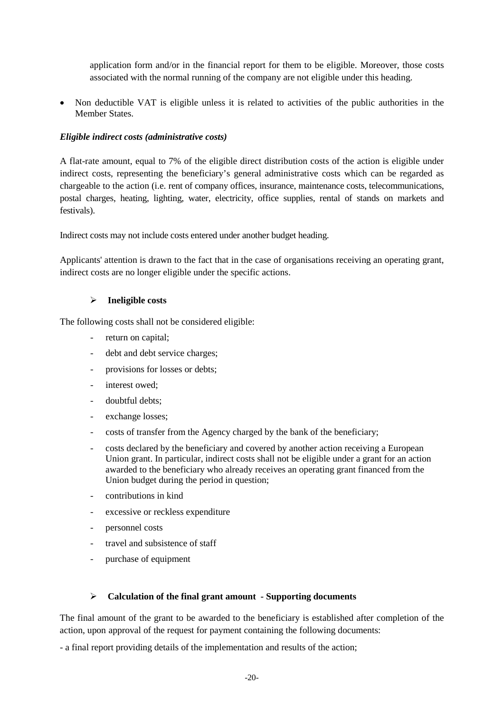application form and/or in the financial report for them to be eligible. Moreover, those costs associated with the normal running of the company are not eligible under this heading.

• Non deductible VAT is eligible unless it is related to activities of the public authorities in the Member States.

#### *Eligible indirect costs (administrative costs)*

A flat-rate amount, equal to 7% of the eligible direct distribution costs of the action is eligible under indirect costs, representing the beneficiary's general administrative costs which can be regarded as chargeable to the action (i.e. rent of company offices, insurance, maintenance costs, telecommunications, postal charges, heating, lighting, water, electricity, office supplies, rental of stands on markets and festivals).

Indirect costs may not include costs entered under another budget heading.

Applicants' attention is drawn to the fact that in the case of organisations receiving an operating grant, indirect costs are no longer eligible under the specific actions.

#### **Ineligible costs**

The following costs shall not be considered eligible:

- return on capital:
- debt and debt service charges;
- provisions for losses or debts;
- interest owed;
- doubtful debts;
- exchange losses;
- costs of transfer from the Agency charged by the bank of the beneficiary;
- costs declared by the beneficiary and covered by another action receiving a European Union grant. In particular, indirect costs shall not be eligible under a grant for an action awarded to the beneficiary who already receives an operating grant financed from the Union budget during the period in question;
- contributions in kind
- excessive or reckless expenditure
- personnel costs
- travel and subsistence of staff
- purchase of equipment

#### **Calculation of the final grant amount - Supporting documents**

The final amount of the grant to be awarded to the beneficiary is established after completion of the action, upon approval of the request for payment containing the following documents:

- a final report providing details of the implementation and results of the action;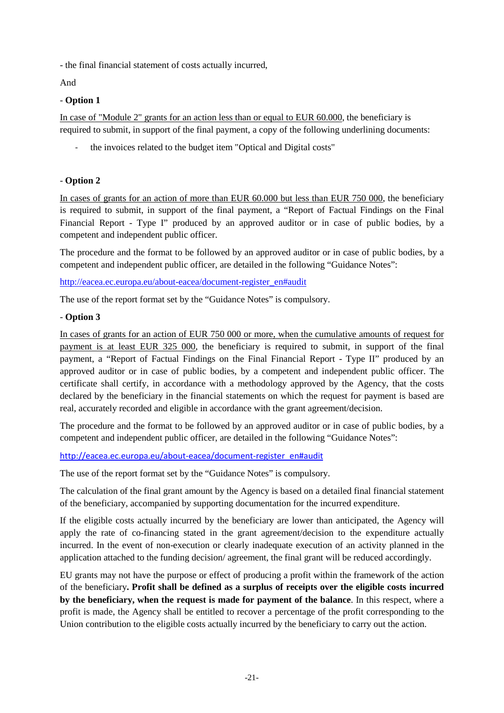- the final financial statement of costs actually incurred,

And

# - **Option 1**

In case of "Module 2" grants for an action less than or equal to EUR 60.000, the beneficiary is required to submit, in support of the final payment, a copy of the following underlining documents:

the invoices related to the budget item "Optical and Digital costs"

# - **Option 2**

In cases of grants for an action of more than EUR 60.000 but less than EUR 750 000, the beneficiary is required to submit, in support of the final payment, a "Report of Factual Findings on the Final Financial Report - Type I" produced by an approved auditor or in case of public bodies, by a competent and independent public officer.

The procedure and the format to be followed by an approved auditor or in case of public bodies, by a competent and independent public officer, are detailed in the following "Guidance Notes":

[http://eacea.ec.europa.eu/about-eacea/document-register\\_en#audit](http://eacea.ec.europa.eu/about-eacea/document-register_en#audit)

The use of the report format set by the "Guidance Notes" is compulsory.

# - **Option 3**

In cases of grants for an action of EUR 750 000 or more, when the cumulative amounts of request for payment is at least EUR 325 000, the beneficiary is required to submit, in support of the final payment, a "Report of Factual Findings on the Final Financial Report - Type II" produced by an approved auditor or in case of public bodies, by a competent and independent public officer. The certificate shall certify, in accordance with a methodology approved by the Agency, that the costs declared by the beneficiary in the financial statements on which the request for payment is based are real, accurately recorded and eligible in accordance with the grant agreement/decision.

The procedure and the format to be followed by an approved auditor or in case of public bodies, by a competent and independent public officer, are detailed in the following "Guidance Notes":

[http://eacea.ec.europa.eu/about-eacea/document-register\\_en#audit](http://eacea.ec.europa.eu/about-eacea/document-register_en#audit)

The use of the report format set by the "Guidance Notes" is compulsory.

The calculation of the final grant amount by the Agency is based on a detailed final financial statement of the beneficiary, accompanied by supporting documentation for the incurred expenditure.

If the eligible costs actually incurred by the beneficiary are lower than anticipated, the Agency will apply the rate of co-financing stated in the grant agreement/decision to the expenditure actually incurred. In the event of non-execution or clearly inadequate execution of an activity planned in the application attached to the funding decision/ agreement, the final grant will be reduced accordingly.

EU grants may not have the purpose or effect of producing a profit within the framework of the action of the beneficiary**. Profit shall be defined as a surplus of receipts over the eligible costs incurred by the beneficiary, when the request is made for payment of the balance**. In this respect, where a profit is made, the Agency shall be entitled to recover a percentage of the profit corresponding to the Union contribution to the eligible costs actually incurred by the beneficiary to carry out the action.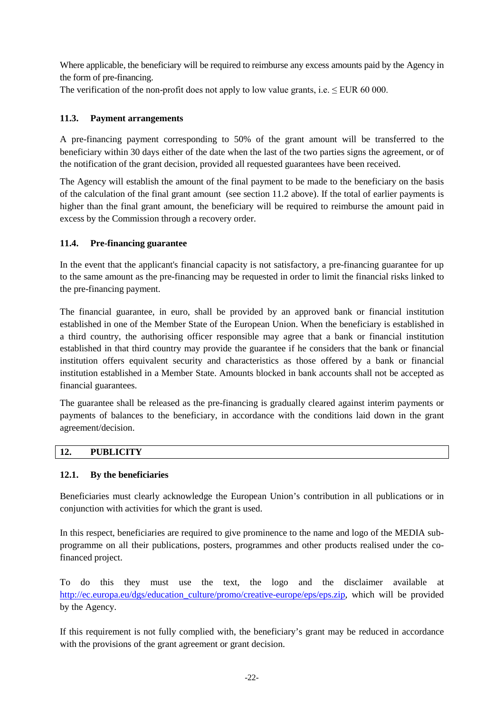Where applicable, the beneficiary will be required to reimburse any excess amounts paid by the Agency in the form of pre-financing.

The verification of the non-profit does not apply to low value grants, i.e.  $\leq$  EUR 60 000.

# **11.3. Payment arrangements**

A pre-financing payment corresponding to 50% of the grant amount will be transferred to the beneficiary within 30 days either of the date when the last of the two parties signs the agreement, or of the notification of the grant decision, provided all requested guarantees have been received.

The Agency will establish the amount of the final payment to be made to the beneficiary on the basis of the calculation of the final grant amount (see section 11.2 above). If the total of earlier payments is higher than the final grant amount, the beneficiary will be required to reimburse the amount paid in excess by the Commission through a recovery order.

# **11.4. Pre-financing guarantee**

In the event that the applicant's financial capacity is not satisfactory, a pre-financing guarantee for up to the same amount as the pre-financing may be requested in order to limit the financial risks linked to the pre-financing payment.

The financial guarantee, in euro, shall be provided by an approved bank or financial institution established in one of the Member State of the European Union. When the beneficiary is established in a third country, the authorising officer responsible may agree that a bank or financial institution established in that third country may provide the guarantee if he considers that the bank or financial institution offers equivalent security and characteristics as those offered by a bank or financial institution established in a Member State. Amounts blocked in bank accounts shall not be accepted as financial guarantees.

The guarantee shall be released as the pre-financing is gradually cleared against interim payments or payments of balances to the beneficiary, in accordance with the conditions laid down in the grant agreement/decision.

# **12. PUBLICITY**

# **12.1. By the beneficiaries**

Beneficiaries must clearly acknowledge the European Union's contribution in all publications or in conjunction with activities for which the grant is used.

In this respect, beneficiaries are required to give prominence to the name and logo of the MEDIA subprogramme on all their publications, posters, programmes and other products realised under the cofinanced project.

To do this they must use the text, the logo and the disclaimer available at [http://ec.europa.eu/dgs/education\\_culture/promo/creative-europe/eps/eps.zip,](http://ec.europa.eu/dgs/education_culture/promo/creative-europe/eps/eps.zip) which will be provided by the Agency.

If this requirement is not fully complied with, the beneficiary's grant may be reduced in accordance with the provisions of the grant agreement or grant decision.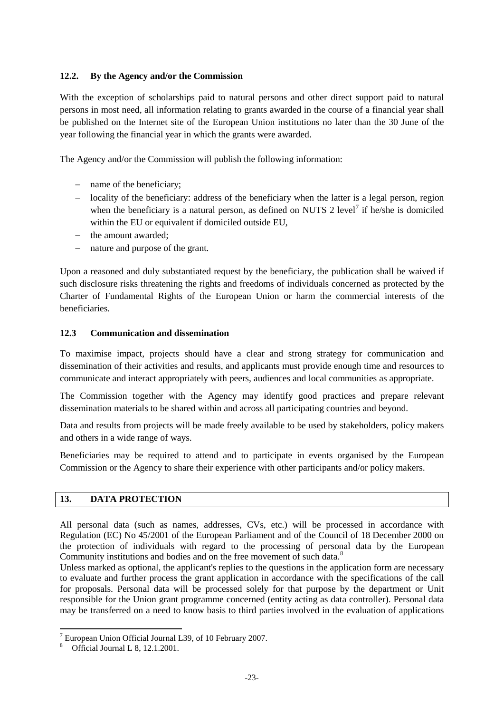# **12.2. By the Agency and/or the Commission**

With the exception of scholarships paid to natural persons and other direct support paid to natural persons in most need, all information relating to grants awarded in the course of a financial year shall be published on the Internet site of the European Union institutions no later than the 30 June of the year following the financial year in which the grants were awarded.

The Agency and/or the Commission will publish the following information:

- − name of the beneficiary;
- − locality of the beneficiary: address of the beneficiary when the latter is a legal person, region when the beneficiary is a natural person, as defined on NUTS 2 level<sup>[7](#page-22-0)</sup> if he/she is domiciled within the EU or equivalent if domiciled outside EU,
- − the amount awarded;
- − nature and purpose of the grant.

Upon a reasoned and duly substantiated request by the beneficiary, the publication shall be waived if such disclosure risks threatening the rights and freedoms of individuals concerned as protected by the Charter of Fundamental Rights of the European Union or harm the commercial interests of the beneficiaries.

#### **12.3 Communication and dissemination**

To maximise impact, projects should have a clear and strong strategy for communication and dissemination of their activities and results, and applicants must provide enough time and resources to communicate and interact appropriately with peers, audiences and local communities as appropriate.

The Commission together with the Agency may identify good practices and prepare relevant dissemination materials to be shared within and across all participating countries and beyond.

Data and results from projects will be made freely available to be used by stakeholders, policy makers and others in a wide range of ways.

Beneficiaries may be required to attend and to participate in events organised by the European Commission or the Agency to share their experience with other participants and/or policy makers.

# **13. DATA PROTECTION**

All personal data (such as names, addresses, CVs, etc.) will be processed in accordance with Regulation (EC) No 45/2001 of the European Parliament and of the Council of 18 December 2000 on the protection of individuals with regard to the processing of personal data by the European Community institutions and bodies and on the free movement of such data.<sup>[8](#page-22-1)</sup>

Unless marked as optional, the applicant's replies to the questions in the application form are necessary to evaluate and further process the grant application in accordance with the specifications of the call for proposals. Personal data will be processed solely for that purpose by the department or Unit responsible for the Union grant programme concerned (entity acting as data controller). Personal data may be transferred on a need to know basis to third parties involved in the evaluation of applications

<span id="page-22-1"></span><span id="page-22-0"></span><sup>&</sup>lt;sup>7</sup> European Union Official Journal L39, of 10 February 2007.<br><sup>8</sup> Official Journal L 8, 12.1.2001.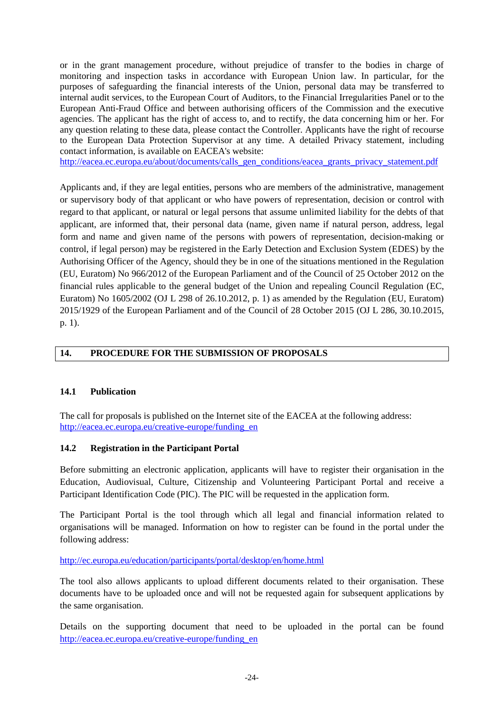or in the grant management procedure, without prejudice of transfer to the bodies in charge of monitoring and inspection tasks in accordance with European Union law. In particular, for the purposes of safeguarding the financial interests of the Union, personal data may be transferred to internal audit services, to the European Court of Auditors, to the Financial Irregularities Panel or to the European Anti-Fraud Office and between authorising officers of the Commission and the executive agencies. The applicant has the right of access to, and to rectify, the data concerning him or her. For any question relating to these data, please contact the Controller. Applicants have the right of recourse to the European Data Protection Supervisor at any time. A detailed Privacy statement, including contact information, is available on EACEA's website:

[http://eacea.ec.europa.eu/about/documents/calls\\_gen\\_conditions/eacea\\_grants\\_privacy\\_statement.pdf](http://eacea.ec.europa.eu/about/documents/calls_gen_conditions/eacea_grants_privacy_statement.pdf)

Applicants and, if they are legal entities, persons who are members of the administrative, management or supervisory body of that applicant or who have powers of representation, decision or control with regard to that applicant, or natural or legal persons that assume unlimited liability for the debts of that applicant, are informed that, their personal data (name, given name if natural person, address, legal form and name and given name of the persons with powers of representation, decision-making or control, if legal person) may be registered in the Early Detection and Exclusion System (EDES) by the Authorising Officer of the Agency, should they be in one of the situations mentioned in the Regulation (EU, Euratom) No 966/2012 of the European Parliament and of the Council of 25 October 2012 on the financial rules applicable to the general budget of the Union and repealing Council Regulation (EC, Euratom) No 1605/2002 (OJ L 298 of 26.10.2012, p. 1) as amended by the Regulation (EU, Euratom) 2015/1929 of the European Parliament and of the Council of 28 October 2015 (OJ L 286, 30.10.2015, p. 1).

# **14. PROCEDURE FOR THE SUBMISSION OF PROPOSALS**

#### **14.1 Publication**

The call for proposals is published on the Internet site of the EACEA at the following address: [http://eacea.ec.europa.eu/creative-europe/funding\\_en](http://eacea.ec.europa.eu/creative-europe/funding_en)

#### **14.2 Registration in the Participant Portal**

Before submitting an electronic application, applicants will have to register their organisation in the Education, Audiovisual, Culture, Citizenship and Volunteering Participant Portal and receive a Participant Identification Code (PIC). The PIC will be requested in the application form.

The Participant Portal is the tool through which all legal and financial information related to organisations will be managed. Information on how to register can be found in the portal under the following address:

#### <http://ec.europa.eu/education/participants/portal/desktop/en/home.html>

The tool also allows applicants to upload different documents related to their organisation. These documents have to be uploaded once and will not be requested again for subsequent applications by the same organisation.

Details on the supporting document that need to be uploaded in the portal can be found [http://eacea.ec.europa.eu/creative-europe/funding\\_en](http://eacea.ec.europa.eu/creative-europe/funding_en)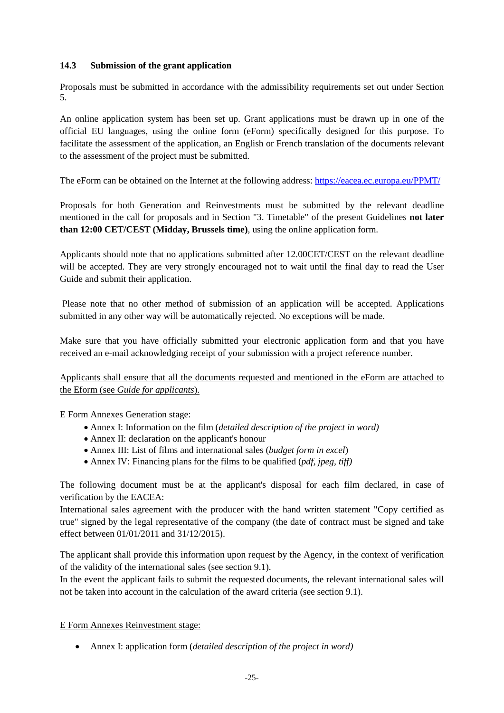# **14.3 Submission of the grant application**

Proposals must be submitted in accordance with the admissibility requirements set out under Section 5.

An online application system has been set up. Grant applications must be drawn up in one of the official EU languages, using the online form (eForm) specifically designed for this purpose. To facilitate the assessment of the application, an English or French translation of the documents relevant to the assessment of the project must be submitted.

The eForm can be obtained on the Internet at the following address:<https://eacea.ec.europa.eu/PPMT/>

Proposals for both Generation and Reinvestments must be submitted by the relevant deadline mentioned in the call for proposals and in Section "3. Timetable" of the present Guidelines **not later than 12:00 CET/CEST (Midday, Brussels time)**, using the online application form.

Applicants should note that no applications submitted after 12.00CET/CEST on the relevant deadline will be accepted. They are very strongly encouraged not to wait until the final day to read the User Guide and submit their application.

Please note that no other method of submission of an application will be accepted. Applications submitted in any other way will be automatically rejected. No exceptions will be made.

Make sure that you have officially submitted your electronic application form and that you have received an e-mail acknowledging receipt of your submission with a project reference number.

Applicants shall ensure that all the documents requested and mentioned in the eForm are attached to the Eform (see *Guide for applicants*).

E Form Annexes Generation stage:

- Annex I: Information on the film (*detailed description of the project in word)*
- Annex II: declaration on the applicant's honour
- Annex III: List of films and international sales (*budget form in excel*)
- Annex IV: Financing plans for the films to be qualified (*pdf, jpeg, tiff)*

The following document must be at the applicant's disposal for each film declared, in case of verification by the EACEA:

International sales agreement with the producer with the hand written statement "Copy certified as true" signed by the legal representative of the company (the date of contract must be signed and take effect between 01/01/2011 and 31/12/2015).

The applicant shall provide this information upon request by the Agency, in the context of verification of the validity of the international sales (see section 9.1).

In the event the applicant fails to submit the requested documents, the relevant international sales will not be taken into account in the calculation of the award criteria (see section 9.1).

# E Form Annexes Reinvestment stage:

• Annex I: application form (*detailed description of the project in word)*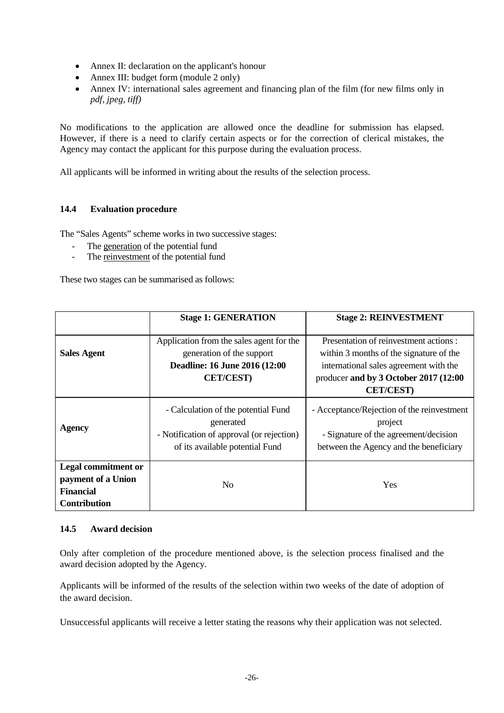- Annex II: declaration on the applicant's honour
- Annex III: budget form (module 2 only)
- Annex IV: international sales agreement and financing plan of the film (for new films only in *pdf, jpeg, tiff)*

No modifications to the application are allowed once the deadline for submission has elapsed. However, if there is a need to clarify certain aspects or for the correction of clerical mistakes, the Agency may contact the applicant for this purpose during the evaluation process.

All applicants will be informed in writing about the results of the selection process.

# **14.4 Evaluation procedure**

The "Sales Agents" scheme works in two successive stages:

- The generation of the potential fund
- The reinvestment of the potential fund

These two stages can be summarised as follows:

|                                                                                             | <b>Stage 1: GENERATION</b>                                                                                                       | <b>Stage 2: REINVESTMENT</b>                                                                                                                                                             |
|---------------------------------------------------------------------------------------------|----------------------------------------------------------------------------------------------------------------------------------|------------------------------------------------------------------------------------------------------------------------------------------------------------------------------------------|
| <b>Sales Agent</b>                                                                          | Application from the sales agent for the<br>generation of the support<br>Deadline: 16 June 2016 (12:00<br><b>CET/CEST)</b>       | Presentation of reinvestment actions :<br>within 3 months of the signature of the<br>international sales agreement with the<br>producer and by 3 October 2017 (12:00<br><b>CET/CEST)</b> |
| Agency                                                                                      | - Calculation of the potential Fund<br>generated<br>- Notification of approval (or rejection)<br>of its available potential Fund | - Acceptance/Rejection of the reinvestment<br>project<br>- Signature of the agreement/decision<br>between the Agency and the beneficiary                                                 |
| <b>Legal commitment or</b><br>payment of a Union<br><b>Financial</b><br><b>Contribution</b> | N <sub>0</sub>                                                                                                                   | <b>Yes</b>                                                                                                                                                                               |

#### **14.5 Award decision**

Only after completion of the procedure mentioned above, is the selection process finalised and the award decision adopted by the Agency.

Applicants will be informed of the results of the selection within two weeks of the date of adoption of the award decision.

Unsuccessful applicants will receive a letter stating the reasons why their application was not selected.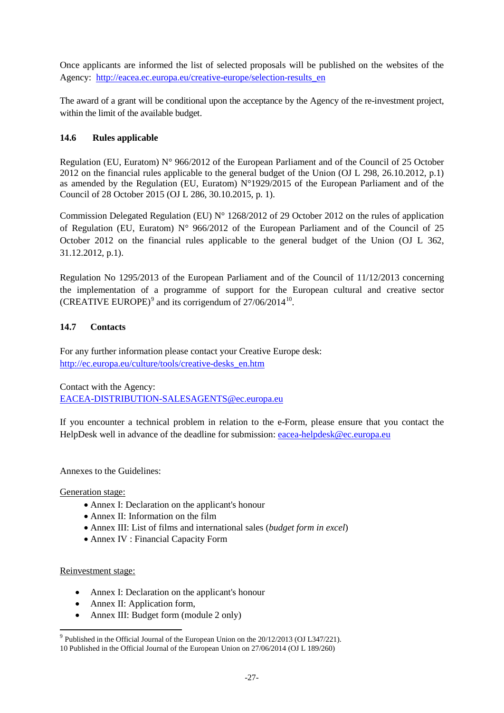Once applicants are informed the list of selected proposals will be published on the websites of the Agency: [http://eacea.ec.europa.eu/creative-europe/selection-results\\_en](http://eacea.ec.europa.eu/creative-europe/selection-results_en)

The award of a grant will be conditional upon the acceptance by the Agency of the re-investment project, within the limit of the available budget.

# **14.6 Rules applicable**

Regulation (EU, Euratom) N° 966/2012 of the European Parliament and of the Council of 25 October 2012 on the financial rules applicable to the general budget of the Union (OJ L 298, 26.10.2012, p.1) as amended by the Regulation (EU, Euratom) N°1929/2015 of the European Parliament and of the Council of 28 October 2015 (OJ L 286, 30.10.2015, p. 1).

Commission Delegated Regulation (EU)  $N^{\circ}$  1268/2012 of 29 October 2012 on the rules of application of Regulation (EU, Euratom) N° 966/2012 of the European Parliament and of the Council of 25 October 2012 on the financial rules applicable to the general budget of the Union (OJ L 362, 31.12.2012, p.1).

Regulation No 1295/2013 of the European Parliament and of the Council of 11/12/2013 concerning the implementation of a programme of support for the European cultural and creative sector (CREATIVE EUROPE)<sup>[9](#page-26-0)</sup> and its corrigendum of  $27/06/2014^{10}$  $27/06/2014^{10}$  $27/06/2014^{10}$ .

# **14.7 Contacts**

For any further information please contact your Creative Europe desk: [http://ec.europa.eu/culture/tools/creative-desks\\_en.htm](http://ec.europa.eu/culture/tools/creative-desks_en.htm)

Contact with the Agency: [EACEA-DISTRIBUTION-SALESAGENTS@ec.europa.eu](mailto:EACEA-DISTRIBUTION-SALESAGENTS@ec.europa.eu)

If you encounter a technical problem in relation to the e-Form, please ensure that you contact the HelpDesk well in advance of the deadline for submission: [eacea-helpdesk@ec.europa.eu](mailto:eacea-helpdesk@ec.europa.eu)

Annexes to the Guidelines:

Generation stage:

- Annex I: Declaration on the applicant's honour
- Annex II: Information on the film
- Annex III: List of films and international sales (*budget form in excel*)
- Annex IV : Financial Capacity Form

#### Reinvestment stage:

- Annex I: Declaration on the applicant's honour
- Annex II: Application form,
- Annex III: Budget form (module 2 only)

<span id="page-26-1"></span><span id="page-26-0"></span><sup>9</sup> Published in the Official Journal of the European Union on the 20/12/2013 (OJ L347/221). 10 Published in the Official Journal of the European Union on 27/06/2014 (OJ L 189/260)